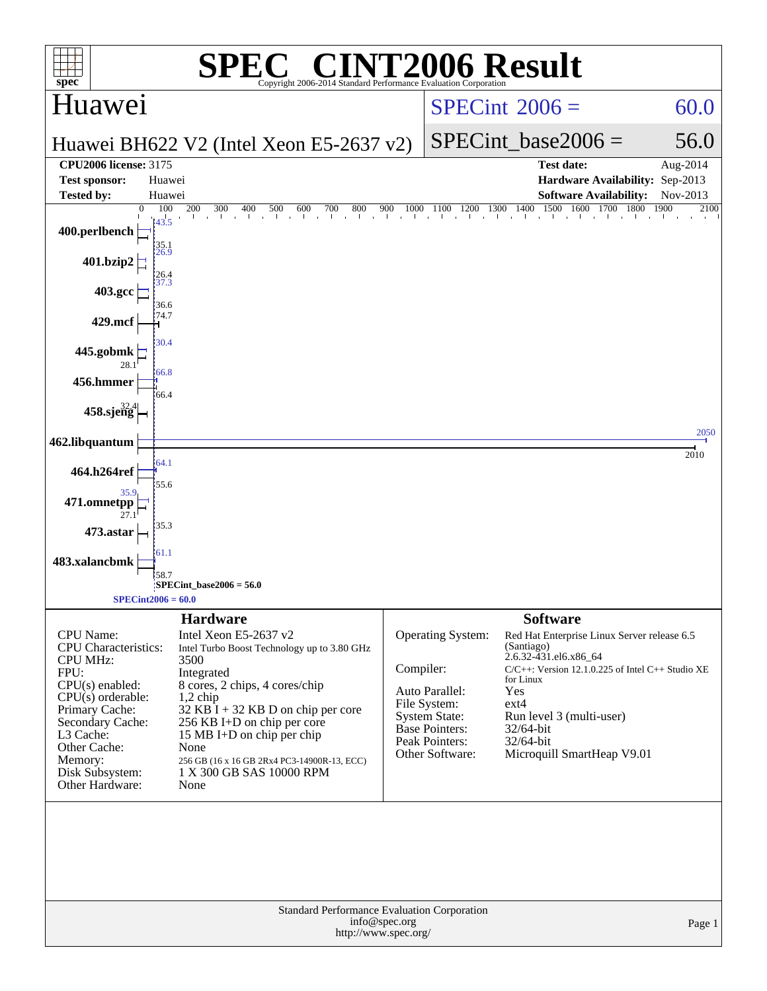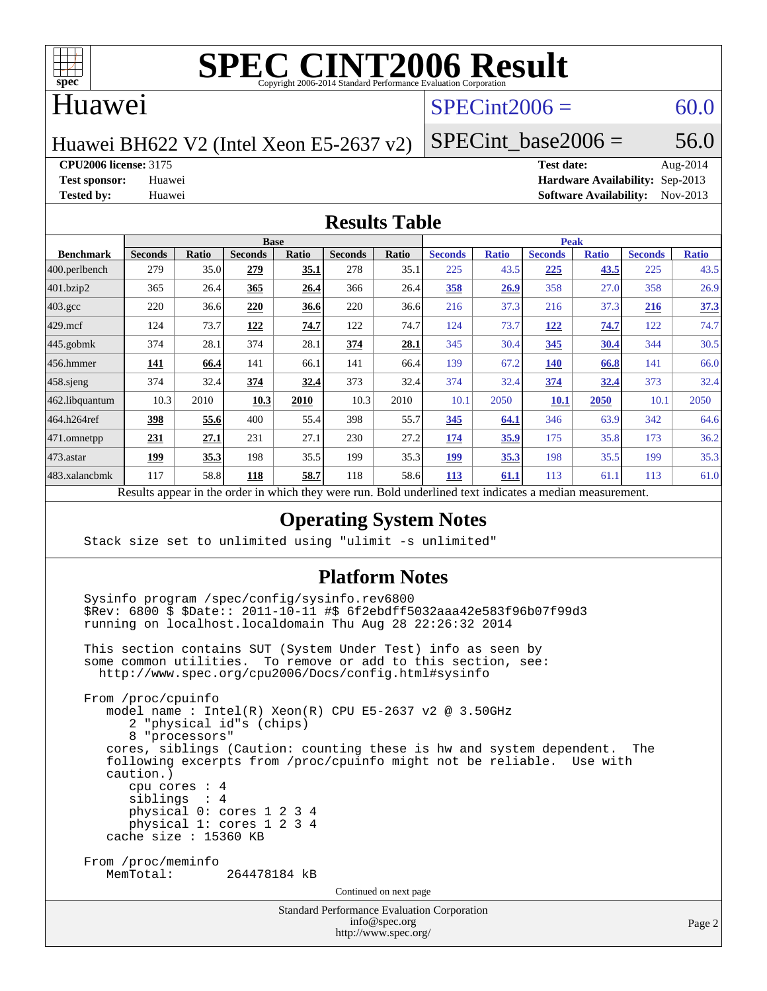

# **[SPEC CINT2006 Result](http://www.spec.org/auto/cpu2006/Docs/result-fields.html#SPECCINT2006Result)**

#### Huawei

### $SPECint2006 = 60.0$  $SPECint2006 = 60.0$

Huawei BH622 V2 (Intel Xeon E5-2637 v2)

SPECint base2006 =  $56.0$ 

**[CPU2006 license:](http://www.spec.org/auto/cpu2006/Docs/result-fields.html#CPU2006license)** 3175 **[Test date:](http://www.spec.org/auto/cpu2006/Docs/result-fields.html#Testdate)** Aug-2014

**[Test sponsor:](http://www.spec.org/auto/cpu2006/Docs/result-fields.html#Testsponsor)** Huawei **[Hardware Availability:](http://www.spec.org/auto/cpu2006/Docs/result-fields.html#HardwareAvailability)** Sep-2013 **[Tested by:](http://www.spec.org/auto/cpu2006/Docs/result-fields.html#Testedby)** Huawei **[Software Availability:](http://www.spec.org/auto/cpu2006/Docs/result-fields.html#SoftwareAvailability)** Nov-2013

#### **[Results Table](http://www.spec.org/auto/cpu2006/Docs/result-fields.html#ResultsTable)**

|                                                                                                                | <b>Base</b>    |              |                |              |                |       |                | <b>Peak</b>  |                |              |                |              |  |
|----------------------------------------------------------------------------------------------------------------|----------------|--------------|----------------|--------------|----------------|-------|----------------|--------------|----------------|--------------|----------------|--------------|--|
| <b>Benchmark</b>                                                                                               | <b>Seconds</b> | <b>Ratio</b> | <b>Seconds</b> | <b>Ratio</b> | <b>Seconds</b> | Ratio | <b>Seconds</b> | <b>Ratio</b> | <b>Seconds</b> | <b>Ratio</b> | <b>Seconds</b> | <b>Ratio</b> |  |
| 400.perlbench                                                                                                  | 279            | 35.0         | 279            | 35.1         | 278            | 35.1  | 225            | 43.5         | 225            | 43.5         | 225            | 43.5         |  |
| 401.bzip2                                                                                                      | 365            | 26.4         | 365            | 26.4         | 366            | 26.4  | 358            | 26.9         | 358            | 27.0         | 358            | 26.9         |  |
| $403.\mathrm{gcc}$                                                                                             | 220            | 36.6         | 220            | 36.6         | 220            | 36.6  | 216            | 37.3         | 216            | 37.3         | <u>216</u>     | 37.3         |  |
| $429$ mcf                                                                                                      | 124            | 73.7         | 122            | 74.7         | 122            | 74.7  | 124            | 73.7         | <u>122</u>     | 74.7         | 122            | 74.7         |  |
| $445$ .gobmk                                                                                                   | 374            | 28.1         | 374            | 28.1         | 374            | 28.1  | 345            | 30.4         | 345            | 30.4         | 344            | 30.5         |  |
| $456.$ hmmer                                                                                                   | 141            | 66.4         | 141            | 66.1         | 141            | 66.4  | 139            | 67.2         | <b>140</b>     | 66.8         | 141            | 66.0         |  |
| $458$ .sjeng                                                                                                   | 374            | 32.4         | 374            | 32.4         | 373            | 32.4  | 374            | 32.4         | 374            | 32.4         | 373            | 32.4         |  |
| 462.libquantum                                                                                                 | 10.3           | 2010         | 10.3           | 2010         | 10.3           | 2010  | 10.1           | 2050         | <b>10.1</b>    | 2050         | 10.1           | 2050         |  |
| 464.h264ref                                                                                                    | 398            | 55.6         | 400            | 55.4         | 398            | 55.7  | 345            | 64.1         | 346            | 63.9         | 342            | 64.6         |  |
| 471.omnetpp                                                                                                    | 231            | 27.1         | 231            | 27.1         | 230            | 27.2  | 174            | 35.9         | 175            | 35.8         | 173            | 36.2         |  |
| $473$ . astar                                                                                                  | <u>199</u>     | 35.3         | 198            | 35.5         | 199            | 35.3  | 199            | 35.3         | 198            | 35.5         | 199            | 35.3         |  |
| 483.xalancbmk                                                                                                  | 117            | 58.8         | 118            | 58.7         | 118            | 58.6  | <b>113</b>     | 61.1         | 113            | 61.1         | 113            | 61.0         |  |
| 2.11<br>$\mathbf{D}$ $\mathbf{L}$<br>1.3.1.<br>$\rightarrow$ 1.<br>$D$ and $L$ and $L$ and $L$ and $L$ and $L$ |                |              |                |              |                |       |                |              |                |              |                |              |  |

Results appear in the [order in which they were run.](http://www.spec.org/auto/cpu2006/Docs/result-fields.html#RunOrder) Bold underlined text [indicates a median measurement.](http://www.spec.org/auto/cpu2006/Docs/result-fields.html#Median)

#### **[Operating System Notes](http://www.spec.org/auto/cpu2006/Docs/result-fields.html#OperatingSystemNotes)**

Stack size set to unlimited using "ulimit -s unlimited"

#### **[Platform Notes](http://www.spec.org/auto/cpu2006/Docs/result-fields.html#PlatformNotes)**

Standard Performance Evaluation Corporation Sysinfo program /spec/config/sysinfo.rev6800 \$Rev: 6800 \$ \$Date:: 2011-10-11 #\$ 6f2ebdff5032aaa42e583f96b07f99d3 running on localhost.localdomain Thu Aug 28 22:26:32 2014 This section contains SUT (System Under Test) info as seen by some common utilities. To remove or add to this section, see: <http://www.spec.org/cpu2006/Docs/config.html#sysinfo> From /proc/cpuinfo model name : Intel(R) Xeon(R) CPU E5-2637 v2 @ 3.50GHz 2 "physical id"s (chips) 8 "processors" cores, siblings (Caution: counting these is hw and system dependent. The following excerpts from /proc/cpuinfo might not be reliable. Use with caution.) cpu cores : 4 siblings : 4 physical 0: cores 1 2 3 4 physical 1: cores 1 2 3 4 cache size : 15360 KB From /proc/meminfo<br>MemTotal: 264478184 kB Continued on next page

[info@spec.org](mailto:info@spec.org) <http://www.spec.org/>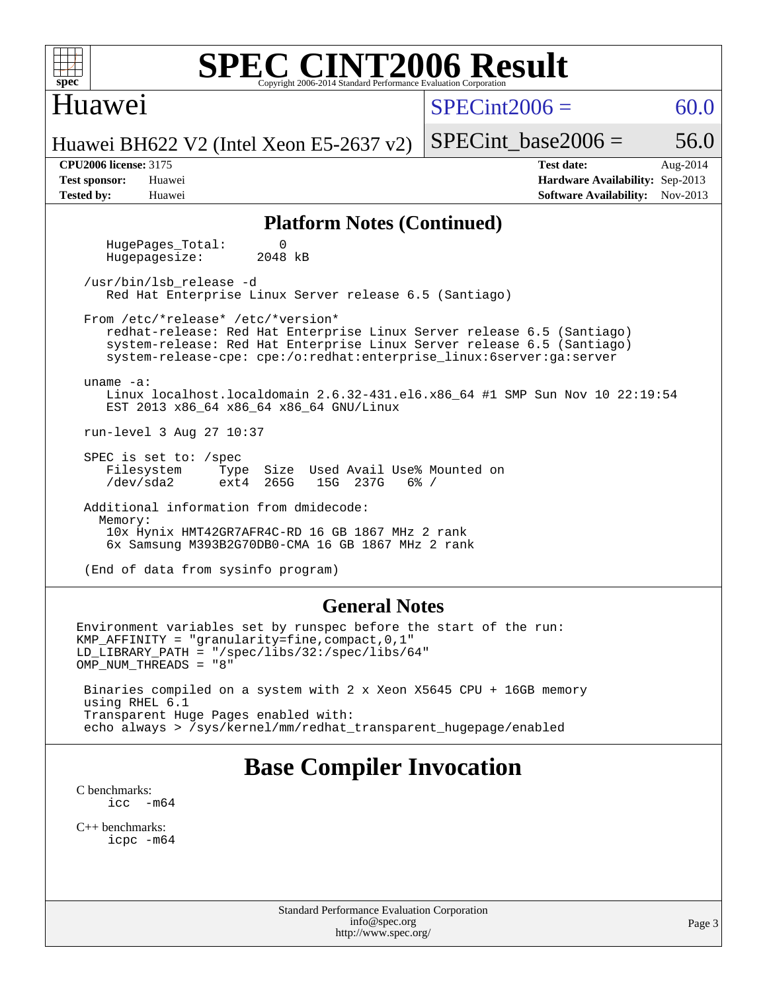| <b>SPEC CINT2006 Result</b><br>$spec^*$<br>Copyright 2006-2014 Standard Performance Evaluation Corporation                                                                                                                                                     |                                                                                                               |  |  |  |  |  |  |  |  |  |
|----------------------------------------------------------------------------------------------------------------------------------------------------------------------------------------------------------------------------------------------------------------|---------------------------------------------------------------------------------------------------------------|--|--|--|--|--|--|--|--|--|
| Huawei                                                                                                                                                                                                                                                         | $SPECint2006 =$<br>60.0                                                                                       |  |  |  |  |  |  |  |  |  |
| Huawei BH622 V2 (Intel Xeon E5-2637 v2)                                                                                                                                                                                                                        | 56.0<br>$SPECint base2006 =$                                                                                  |  |  |  |  |  |  |  |  |  |
| <b>CPU2006 license: 3175</b><br><b>Test sponsor:</b><br>Huawei<br><b>Tested by:</b><br>Huawei                                                                                                                                                                  | <b>Test date:</b><br>Aug-2014<br>Hardware Availability: Sep-2013<br>Nov-2013<br><b>Software Availability:</b> |  |  |  |  |  |  |  |  |  |
| <b>Platform Notes (Continued)</b>                                                                                                                                                                                                                              |                                                                                                               |  |  |  |  |  |  |  |  |  |
| HugePages_Total:<br>0<br>Hugepagesize:<br>2048 kB                                                                                                                                                                                                              |                                                                                                               |  |  |  |  |  |  |  |  |  |
| /usr/bin/lsb release -d<br>Red Hat Enterprise Linux Server release 6.5 (Santiago)                                                                                                                                                                              |                                                                                                               |  |  |  |  |  |  |  |  |  |
| From /etc/*release* /etc/*version*<br>redhat-release: Red Hat Enterprise Linux Server release 6.5 (Santiago)<br>system-release: Red Hat Enterprise Linux Server release 6.5 (Santiago)<br>system-release-cpe: cpe:/o:redhat:enterprise_linux:6server:ga:server |                                                                                                               |  |  |  |  |  |  |  |  |  |
| uname $-a$ :<br>Linux localhost.localdomain 2.6.32-431.el6.x86_64 #1 SMP Sun Nov 10 22:19:54<br>EST 2013 x86_64 x86_64 x86_64 GNU/Linux                                                                                                                        |                                                                                                               |  |  |  |  |  |  |  |  |  |
| run-level 3 Aug 27 10:37                                                                                                                                                                                                                                       |                                                                                                               |  |  |  |  |  |  |  |  |  |
| SPEC is set to: /spec<br>Filesystem<br>Type Size Used Avail Use% Mounted on<br>/dev/sda2<br>265G<br>15G 237G<br>$6\%$ /<br>ext4                                                                                                                                |                                                                                                               |  |  |  |  |  |  |  |  |  |
| Additional information from dmidecode:                                                                                                                                                                                                                         |                                                                                                               |  |  |  |  |  |  |  |  |  |
| Memory:<br>10x Hynix HMT42GR7AFR4C-RD 16 GB 1867 MHz 2 rank<br>6x Samsung M393B2G70DB0-CMA 16 GB 1867 MHz 2 rank                                                                                                                                               |                                                                                                               |  |  |  |  |  |  |  |  |  |
| (End of data from sysinfo program)                                                                                                                                                                                                                             |                                                                                                               |  |  |  |  |  |  |  |  |  |
| <b>General Notes</b>                                                                                                                                                                                                                                           |                                                                                                               |  |  |  |  |  |  |  |  |  |
| Environment variables set by runspec before the start of the run:<br>KMP_AFFINITY = "granularity=fine, compact, $0,1$ "<br>$LD_LIBRARY_PATH = "/gpec/libs/32://spec/libs/64"$<br>OMP_NUM_THREADS = "8"                                                         |                                                                                                               |  |  |  |  |  |  |  |  |  |
| Binaries compiled on a system with 2 x Xeon X5645 CPU + 16GB memory<br>using RHEL 6.1<br>Transparent Huge Pages enabled with:                                                                                                                                  |                                                                                                               |  |  |  |  |  |  |  |  |  |

echo always > /sys/kernel/mm/redhat\_transparent\_hugepage/enabled

# **[Base Compiler Invocation](http://www.spec.org/auto/cpu2006/Docs/result-fields.html#BaseCompilerInvocation)**

[C benchmarks](http://www.spec.org/auto/cpu2006/Docs/result-fields.html#Cbenchmarks):  $\text{icc}$  -m64

[C++ benchmarks:](http://www.spec.org/auto/cpu2006/Docs/result-fields.html#CXXbenchmarks) [icpc -m64](http://www.spec.org/cpu2006/results/res2014q3/cpu2006-20140901-31128.flags.html#user_CXXbase_intel_icpc_64bit_fc66a5337ce925472a5c54ad6a0de310)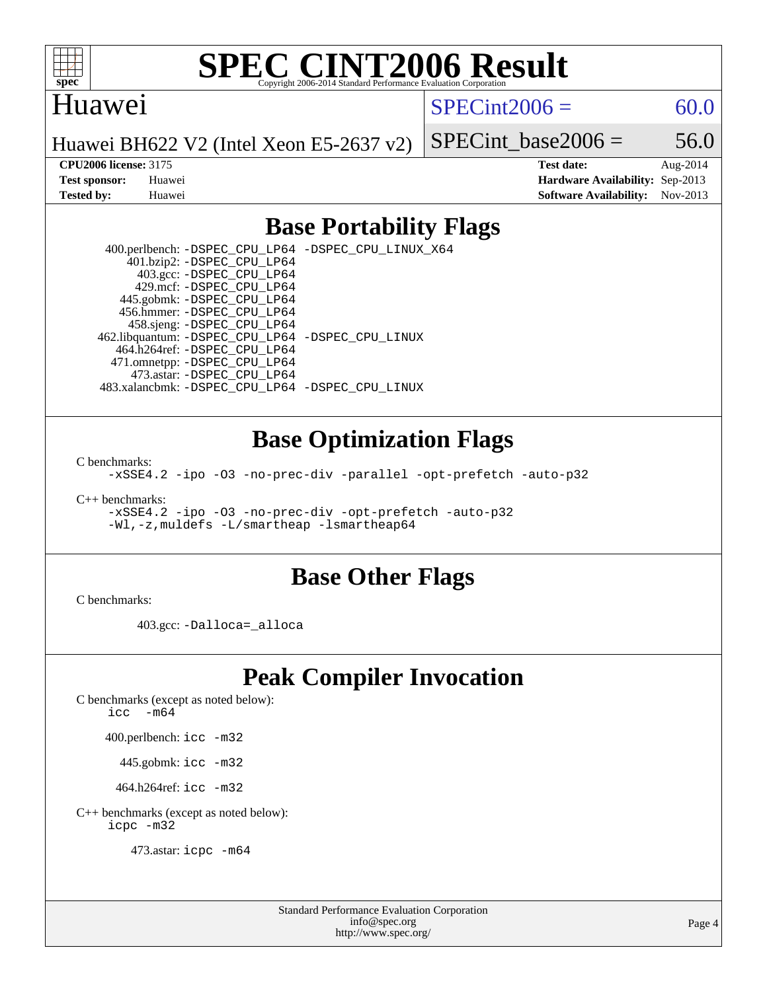

# **[SPEC CINT2006 Result](http://www.spec.org/auto/cpu2006/Docs/result-fields.html#SPECCINT2006Result)**

#### Huawei

 $SPECint2006 = 60.0$  $SPECint2006 = 60.0$ 

Huawei BH622 V2 (Intel Xeon E5-2637 v2)

SPECint base2006 =  $56.0$ 

**[CPU2006 license:](http://www.spec.org/auto/cpu2006/Docs/result-fields.html#CPU2006license)** 3175 **[Test date:](http://www.spec.org/auto/cpu2006/Docs/result-fields.html#Testdate)** Aug-2014 **[Test sponsor:](http://www.spec.org/auto/cpu2006/Docs/result-fields.html#Testsponsor)** Huawei **[Hardware Availability:](http://www.spec.org/auto/cpu2006/Docs/result-fields.html#HardwareAvailability)** Sep-2013 **[Tested by:](http://www.spec.org/auto/cpu2006/Docs/result-fields.html#Testedby)** Huawei **[Software Availability:](http://www.spec.org/auto/cpu2006/Docs/result-fields.html#SoftwareAvailability)** Nov-2013

### **[Base Portability Flags](http://www.spec.org/auto/cpu2006/Docs/result-fields.html#BasePortabilityFlags)**

 400.perlbench: [-DSPEC\\_CPU\\_LP64](http://www.spec.org/cpu2006/results/res2014q3/cpu2006-20140901-31128.flags.html#b400.perlbench_basePORTABILITY_DSPEC_CPU_LP64) [-DSPEC\\_CPU\\_LINUX\\_X64](http://www.spec.org/cpu2006/results/res2014q3/cpu2006-20140901-31128.flags.html#b400.perlbench_baseCPORTABILITY_DSPEC_CPU_LINUX_X64) 401.bzip2: [-DSPEC\\_CPU\\_LP64](http://www.spec.org/cpu2006/results/res2014q3/cpu2006-20140901-31128.flags.html#suite_basePORTABILITY401_bzip2_DSPEC_CPU_LP64) 403.gcc: [-DSPEC\\_CPU\\_LP64](http://www.spec.org/cpu2006/results/res2014q3/cpu2006-20140901-31128.flags.html#suite_basePORTABILITY403_gcc_DSPEC_CPU_LP64) 429.mcf: [-DSPEC\\_CPU\\_LP64](http://www.spec.org/cpu2006/results/res2014q3/cpu2006-20140901-31128.flags.html#suite_basePORTABILITY429_mcf_DSPEC_CPU_LP64) 445.gobmk: [-DSPEC\\_CPU\\_LP64](http://www.spec.org/cpu2006/results/res2014q3/cpu2006-20140901-31128.flags.html#suite_basePORTABILITY445_gobmk_DSPEC_CPU_LP64) 456.hmmer: [-DSPEC\\_CPU\\_LP64](http://www.spec.org/cpu2006/results/res2014q3/cpu2006-20140901-31128.flags.html#suite_basePORTABILITY456_hmmer_DSPEC_CPU_LP64) 458.sjeng: [-DSPEC\\_CPU\\_LP64](http://www.spec.org/cpu2006/results/res2014q3/cpu2006-20140901-31128.flags.html#suite_basePORTABILITY458_sjeng_DSPEC_CPU_LP64) 462.libquantum: [-DSPEC\\_CPU\\_LP64](http://www.spec.org/cpu2006/results/res2014q3/cpu2006-20140901-31128.flags.html#suite_basePORTABILITY462_libquantum_DSPEC_CPU_LP64) [-DSPEC\\_CPU\\_LINUX](http://www.spec.org/cpu2006/results/res2014q3/cpu2006-20140901-31128.flags.html#b462.libquantum_baseCPORTABILITY_DSPEC_CPU_LINUX) 464.h264ref: [-DSPEC\\_CPU\\_LP64](http://www.spec.org/cpu2006/results/res2014q3/cpu2006-20140901-31128.flags.html#suite_basePORTABILITY464_h264ref_DSPEC_CPU_LP64) 471.omnetpp: [-DSPEC\\_CPU\\_LP64](http://www.spec.org/cpu2006/results/res2014q3/cpu2006-20140901-31128.flags.html#suite_basePORTABILITY471_omnetpp_DSPEC_CPU_LP64) 473.astar: [-DSPEC\\_CPU\\_LP64](http://www.spec.org/cpu2006/results/res2014q3/cpu2006-20140901-31128.flags.html#suite_basePORTABILITY473_astar_DSPEC_CPU_LP64) 483.xalancbmk: [-DSPEC\\_CPU\\_LP64](http://www.spec.org/cpu2006/results/res2014q3/cpu2006-20140901-31128.flags.html#suite_basePORTABILITY483_xalancbmk_DSPEC_CPU_LP64) [-DSPEC\\_CPU\\_LINUX](http://www.spec.org/cpu2006/results/res2014q3/cpu2006-20140901-31128.flags.html#b483.xalancbmk_baseCXXPORTABILITY_DSPEC_CPU_LINUX)

#### **[Base Optimization Flags](http://www.spec.org/auto/cpu2006/Docs/result-fields.html#BaseOptimizationFlags)**

[C benchmarks](http://www.spec.org/auto/cpu2006/Docs/result-fields.html#Cbenchmarks):

[-xSSE4.2](http://www.spec.org/cpu2006/results/res2014q3/cpu2006-20140901-31128.flags.html#user_CCbase_f-xSSE42_f91528193cf0b216347adb8b939d4107) [-ipo](http://www.spec.org/cpu2006/results/res2014q3/cpu2006-20140901-31128.flags.html#user_CCbase_f-ipo) [-O3](http://www.spec.org/cpu2006/results/res2014q3/cpu2006-20140901-31128.flags.html#user_CCbase_f-O3) [-no-prec-div](http://www.spec.org/cpu2006/results/res2014q3/cpu2006-20140901-31128.flags.html#user_CCbase_f-no-prec-div) [-parallel](http://www.spec.org/cpu2006/results/res2014q3/cpu2006-20140901-31128.flags.html#user_CCbase_f-parallel) [-opt-prefetch](http://www.spec.org/cpu2006/results/res2014q3/cpu2006-20140901-31128.flags.html#user_CCbase_f-opt-prefetch) [-auto-p32](http://www.spec.org/cpu2006/results/res2014q3/cpu2006-20140901-31128.flags.html#user_CCbase_f-auto-p32)

[C++ benchmarks:](http://www.spec.org/auto/cpu2006/Docs/result-fields.html#CXXbenchmarks)

[-xSSE4.2](http://www.spec.org/cpu2006/results/res2014q3/cpu2006-20140901-31128.flags.html#user_CXXbase_f-xSSE42_f91528193cf0b216347adb8b939d4107) [-ipo](http://www.spec.org/cpu2006/results/res2014q3/cpu2006-20140901-31128.flags.html#user_CXXbase_f-ipo) [-O3](http://www.spec.org/cpu2006/results/res2014q3/cpu2006-20140901-31128.flags.html#user_CXXbase_f-O3) [-no-prec-div](http://www.spec.org/cpu2006/results/res2014q3/cpu2006-20140901-31128.flags.html#user_CXXbase_f-no-prec-div) [-opt-prefetch](http://www.spec.org/cpu2006/results/res2014q3/cpu2006-20140901-31128.flags.html#user_CXXbase_f-opt-prefetch) [-auto-p32](http://www.spec.org/cpu2006/results/res2014q3/cpu2006-20140901-31128.flags.html#user_CXXbase_f-auto-p32) [-Wl,-z,muldefs](http://www.spec.org/cpu2006/results/res2014q3/cpu2006-20140901-31128.flags.html#user_CXXbase_link_force_multiple1_74079c344b956b9658436fd1b6dd3a8a) [-L/smartheap -lsmartheap64](http://www.spec.org/cpu2006/results/res2014q3/cpu2006-20140901-31128.flags.html#user_CXXbase_SmartHeap64_5e654037dadeae1fe403ab4b4466e60b)

#### **[Base Other Flags](http://www.spec.org/auto/cpu2006/Docs/result-fields.html#BaseOtherFlags)**

[C benchmarks](http://www.spec.org/auto/cpu2006/Docs/result-fields.html#Cbenchmarks):

403.gcc: [-Dalloca=\\_alloca](http://www.spec.org/cpu2006/results/res2014q3/cpu2006-20140901-31128.flags.html#b403.gcc_baseEXTRA_CFLAGS_Dalloca_be3056838c12de2578596ca5467af7f3)

## **[Peak Compiler Invocation](http://www.spec.org/auto/cpu2006/Docs/result-fields.html#PeakCompilerInvocation)**

[C benchmarks \(except as noted below\)](http://www.spec.org/auto/cpu2006/Docs/result-fields.html#Cbenchmarksexceptasnotedbelow):

icc  $-m64$ 

400.perlbench: [icc -m32](http://www.spec.org/cpu2006/results/res2014q3/cpu2006-20140901-31128.flags.html#user_peakCCLD400_perlbench_intel_icc_a6a621f8d50482236b970c6ac5f55f93)

445.gobmk: [icc -m32](http://www.spec.org/cpu2006/results/res2014q3/cpu2006-20140901-31128.flags.html#user_peakCCLD445_gobmk_intel_icc_a6a621f8d50482236b970c6ac5f55f93)

464.h264ref: [icc -m32](http://www.spec.org/cpu2006/results/res2014q3/cpu2006-20140901-31128.flags.html#user_peakCCLD464_h264ref_intel_icc_a6a621f8d50482236b970c6ac5f55f93)

[C++ benchmarks \(except as noted below\):](http://www.spec.org/auto/cpu2006/Docs/result-fields.html#CXXbenchmarksexceptasnotedbelow) [icpc -m32](http://www.spec.org/cpu2006/results/res2014q3/cpu2006-20140901-31128.flags.html#user_CXXpeak_intel_icpc_4e5a5ef1a53fd332b3c49e69c3330699)

473.astar: [icpc -m64](http://www.spec.org/cpu2006/results/res2014q3/cpu2006-20140901-31128.flags.html#user_peakCXXLD473_astar_intel_icpc_64bit_fc66a5337ce925472a5c54ad6a0de310)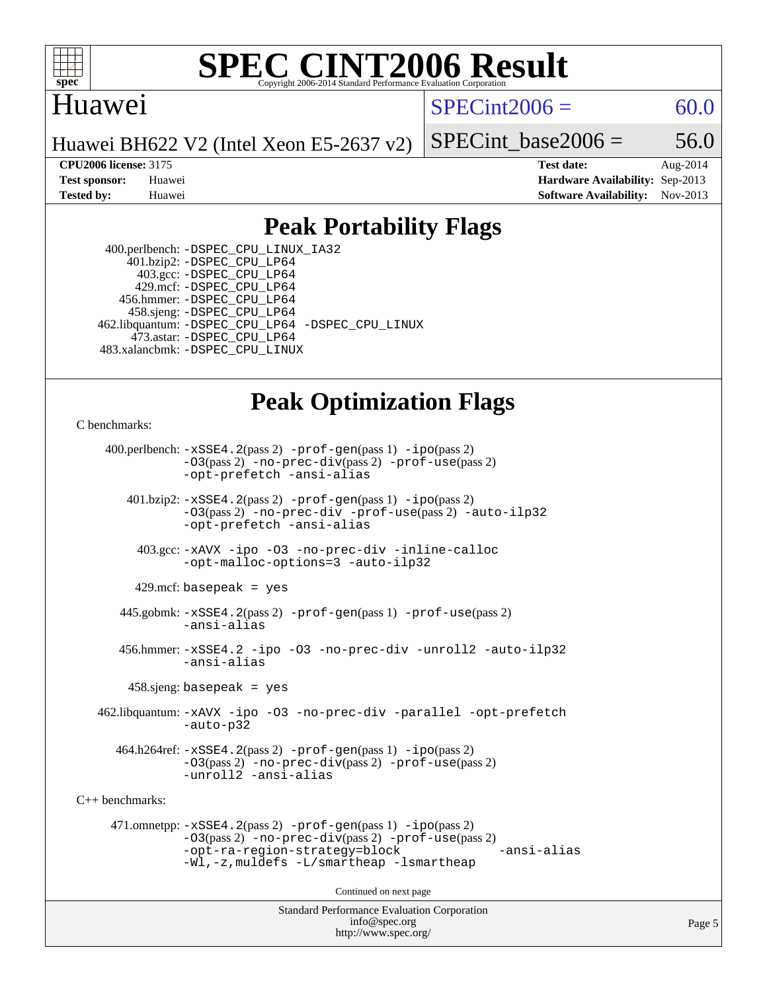

#### **[SPEC CINT2006 Result](http://www.spec.org/auto/cpu2006/Docs/result-fields.html#SPECCINT2006Result)** Copyright 2006-2014 Standard Performance Evaluation C

### Huawei

 $SPECint2006 = 60.0$  $SPECint2006 = 60.0$ 

Huawei BH622 V2 (Intel Xeon E5-2637 v2)

SPECint base2006 =  $56.0$ 

**[CPU2006 license:](http://www.spec.org/auto/cpu2006/Docs/result-fields.html#CPU2006license)** 3175 **[Test date:](http://www.spec.org/auto/cpu2006/Docs/result-fields.html#Testdate)** Aug-2014 **[Test sponsor:](http://www.spec.org/auto/cpu2006/Docs/result-fields.html#Testsponsor)** Huawei **[Hardware Availability:](http://www.spec.org/auto/cpu2006/Docs/result-fields.html#HardwareAvailability)** Sep-2013 **[Tested by:](http://www.spec.org/auto/cpu2006/Docs/result-fields.html#Testedby)** Huawei **[Software Availability:](http://www.spec.org/auto/cpu2006/Docs/result-fields.html#SoftwareAvailability)** Nov-2013

#### **[Peak Portability Flags](http://www.spec.org/auto/cpu2006/Docs/result-fields.html#PeakPortabilityFlags)**

 400.perlbench: [-DSPEC\\_CPU\\_LINUX\\_IA32](http://www.spec.org/cpu2006/results/res2014q3/cpu2006-20140901-31128.flags.html#b400.perlbench_peakCPORTABILITY_DSPEC_CPU_LINUX_IA32) 401.bzip2: [-DSPEC\\_CPU\\_LP64](http://www.spec.org/cpu2006/results/res2014q3/cpu2006-20140901-31128.flags.html#suite_peakPORTABILITY401_bzip2_DSPEC_CPU_LP64) 403.gcc: [-DSPEC\\_CPU\\_LP64](http://www.spec.org/cpu2006/results/res2014q3/cpu2006-20140901-31128.flags.html#suite_peakPORTABILITY403_gcc_DSPEC_CPU_LP64) 429.mcf: [-DSPEC\\_CPU\\_LP64](http://www.spec.org/cpu2006/results/res2014q3/cpu2006-20140901-31128.flags.html#suite_peakPORTABILITY429_mcf_DSPEC_CPU_LP64) 456.hmmer: [-DSPEC\\_CPU\\_LP64](http://www.spec.org/cpu2006/results/res2014q3/cpu2006-20140901-31128.flags.html#suite_peakPORTABILITY456_hmmer_DSPEC_CPU_LP64) 458.sjeng: [-DSPEC\\_CPU\\_LP64](http://www.spec.org/cpu2006/results/res2014q3/cpu2006-20140901-31128.flags.html#suite_peakPORTABILITY458_sjeng_DSPEC_CPU_LP64) 462.libquantum: [-DSPEC\\_CPU\\_LP64](http://www.spec.org/cpu2006/results/res2014q3/cpu2006-20140901-31128.flags.html#suite_peakPORTABILITY462_libquantum_DSPEC_CPU_LP64) [-DSPEC\\_CPU\\_LINUX](http://www.spec.org/cpu2006/results/res2014q3/cpu2006-20140901-31128.flags.html#b462.libquantum_peakCPORTABILITY_DSPEC_CPU_LINUX) 473.astar: [-DSPEC\\_CPU\\_LP64](http://www.spec.org/cpu2006/results/res2014q3/cpu2006-20140901-31128.flags.html#suite_peakPORTABILITY473_astar_DSPEC_CPU_LP64) 483.xalancbmk: [-DSPEC\\_CPU\\_LINUX](http://www.spec.org/cpu2006/results/res2014q3/cpu2006-20140901-31128.flags.html#b483.xalancbmk_peakCXXPORTABILITY_DSPEC_CPU_LINUX)

## **[Peak Optimization Flags](http://www.spec.org/auto/cpu2006/Docs/result-fields.html#PeakOptimizationFlags)**

[C benchmarks](http://www.spec.org/auto/cpu2006/Docs/result-fields.html#Cbenchmarks):

 400.perlbench: [-xSSE4.2](http://www.spec.org/cpu2006/results/res2014q3/cpu2006-20140901-31128.flags.html#user_peakPASS2_CFLAGSPASS2_LDCFLAGS400_perlbench_f-xSSE42_f91528193cf0b216347adb8b939d4107)(pass 2) [-prof-gen](http://www.spec.org/cpu2006/results/res2014q3/cpu2006-20140901-31128.flags.html#user_peakPASS1_CFLAGSPASS1_LDCFLAGS400_perlbench_prof_gen_e43856698f6ca7b7e442dfd80e94a8fc)(pass 1) [-ipo](http://www.spec.org/cpu2006/results/res2014q3/cpu2006-20140901-31128.flags.html#user_peakPASS2_CFLAGSPASS2_LDCFLAGS400_perlbench_f-ipo)(pass 2) [-O3](http://www.spec.org/cpu2006/results/res2014q3/cpu2006-20140901-31128.flags.html#user_peakPASS2_CFLAGSPASS2_LDCFLAGS400_perlbench_f-O3)(pass 2) [-no-prec-div](http://www.spec.org/cpu2006/results/res2014q3/cpu2006-20140901-31128.flags.html#user_peakPASS2_CFLAGSPASS2_LDCFLAGS400_perlbench_f-no-prec-div)(pass 2) [-prof-use](http://www.spec.org/cpu2006/results/res2014q3/cpu2006-20140901-31128.flags.html#user_peakPASS2_CFLAGSPASS2_LDCFLAGS400_perlbench_prof_use_bccf7792157ff70d64e32fe3e1250b55)(pass 2) [-opt-prefetch](http://www.spec.org/cpu2006/results/res2014q3/cpu2006-20140901-31128.flags.html#user_peakCOPTIMIZE400_perlbench_f-opt-prefetch) [-ansi-alias](http://www.spec.org/cpu2006/results/res2014q3/cpu2006-20140901-31128.flags.html#user_peakCOPTIMIZE400_perlbench_f-ansi-alias) 401.bzip2: [-xSSE4.2](http://www.spec.org/cpu2006/results/res2014q3/cpu2006-20140901-31128.flags.html#user_peakPASS2_CFLAGSPASS2_LDCFLAGS401_bzip2_f-xSSE42_f91528193cf0b216347adb8b939d4107)(pass 2) [-prof-gen](http://www.spec.org/cpu2006/results/res2014q3/cpu2006-20140901-31128.flags.html#user_peakPASS1_CFLAGSPASS1_LDCFLAGS401_bzip2_prof_gen_e43856698f6ca7b7e442dfd80e94a8fc)(pass 1) [-ipo](http://www.spec.org/cpu2006/results/res2014q3/cpu2006-20140901-31128.flags.html#user_peakPASS2_CFLAGSPASS2_LDCFLAGS401_bzip2_f-ipo)(pass 2) [-O3](http://www.spec.org/cpu2006/results/res2014q3/cpu2006-20140901-31128.flags.html#user_peakPASS2_CFLAGSPASS2_LDCFLAGS401_bzip2_f-O3)(pass 2) [-no-prec-div](http://www.spec.org/cpu2006/results/res2014q3/cpu2006-20140901-31128.flags.html#user_peakCOPTIMIZEPASS2_CFLAGSPASS2_LDCFLAGS401_bzip2_f-no-prec-div) [-prof-use](http://www.spec.org/cpu2006/results/res2014q3/cpu2006-20140901-31128.flags.html#user_peakPASS2_CFLAGSPASS2_LDCFLAGS401_bzip2_prof_use_bccf7792157ff70d64e32fe3e1250b55)(pass 2) [-auto-ilp32](http://www.spec.org/cpu2006/results/res2014q3/cpu2006-20140901-31128.flags.html#user_peakCOPTIMIZE401_bzip2_f-auto-ilp32) [-opt-prefetch](http://www.spec.org/cpu2006/results/res2014q3/cpu2006-20140901-31128.flags.html#user_peakCOPTIMIZE401_bzip2_f-opt-prefetch) [-ansi-alias](http://www.spec.org/cpu2006/results/res2014q3/cpu2006-20140901-31128.flags.html#user_peakCOPTIMIZE401_bzip2_f-ansi-alias) 403.gcc: [-xAVX](http://www.spec.org/cpu2006/results/res2014q3/cpu2006-20140901-31128.flags.html#user_peakCOPTIMIZE403_gcc_f-xAVX) [-ipo](http://www.spec.org/cpu2006/results/res2014q3/cpu2006-20140901-31128.flags.html#user_peakCOPTIMIZE403_gcc_f-ipo) [-O3](http://www.spec.org/cpu2006/results/res2014q3/cpu2006-20140901-31128.flags.html#user_peakCOPTIMIZE403_gcc_f-O3) [-no-prec-div](http://www.spec.org/cpu2006/results/res2014q3/cpu2006-20140901-31128.flags.html#user_peakCOPTIMIZE403_gcc_f-no-prec-div) [-inline-calloc](http://www.spec.org/cpu2006/results/res2014q3/cpu2006-20140901-31128.flags.html#user_peakCOPTIMIZE403_gcc_f-inline-calloc) [-opt-malloc-options=3](http://www.spec.org/cpu2006/results/res2014q3/cpu2006-20140901-31128.flags.html#user_peakCOPTIMIZE403_gcc_f-opt-malloc-options_13ab9b803cf986b4ee62f0a5998c2238) [-auto-ilp32](http://www.spec.org/cpu2006/results/res2014q3/cpu2006-20140901-31128.flags.html#user_peakCOPTIMIZE403_gcc_f-auto-ilp32)  $429$ .mcf: basepeak = yes 445.gobmk: [-xSSE4.2](http://www.spec.org/cpu2006/results/res2014q3/cpu2006-20140901-31128.flags.html#user_peakPASS2_CFLAGSPASS2_LDCFLAGS445_gobmk_f-xSSE42_f91528193cf0b216347adb8b939d4107)(pass 2) [-prof-gen](http://www.spec.org/cpu2006/results/res2014q3/cpu2006-20140901-31128.flags.html#user_peakPASS1_CFLAGSPASS1_LDCFLAGS445_gobmk_prof_gen_e43856698f6ca7b7e442dfd80e94a8fc)(pass 1) [-prof-use](http://www.spec.org/cpu2006/results/res2014q3/cpu2006-20140901-31128.flags.html#user_peakPASS2_CFLAGSPASS2_LDCFLAGS445_gobmk_prof_use_bccf7792157ff70d64e32fe3e1250b55)(pass 2) [-ansi-alias](http://www.spec.org/cpu2006/results/res2014q3/cpu2006-20140901-31128.flags.html#user_peakCOPTIMIZE445_gobmk_f-ansi-alias) 456.hmmer: [-xSSE4.2](http://www.spec.org/cpu2006/results/res2014q3/cpu2006-20140901-31128.flags.html#user_peakCOPTIMIZE456_hmmer_f-xSSE42_f91528193cf0b216347adb8b939d4107) [-ipo](http://www.spec.org/cpu2006/results/res2014q3/cpu2006-20140901-31128.flags.html#user_peakCOPTIMIZE456_hmmer_f-ipo) [-O3](http://www.spec.org/cpu2006/results/res2014q3/cpu2006-20140901-31128.flags.html#user_peakCOPTIMIZE456_hmmer_f-O3) [-no-prec-div](http://www.spec.org/cpu2006/results/res2014q3/cpu2006-20140901-31128.flags.html#user_peakCOPTIMIZE456_hmmer_f-no-prec-div) [-unroll2](http://www.spec.org/cpu2006/results/res2014q3/cpu2006-20140901-31128.flags.html#user_peakCOPTIMIZE456_hmmer_f-unroll_784dae83bebfb236979b41d2422d7ec2) [-auto-ilp32](http://www.spec.org/cpu2006/results/res2014q3/cpu2006-20140901-31128.flags.html#user_peakCOPTIMIZE456_hmmer_f-auto-ilp32) [-ansi-alias](http://www.spec.org/cpu2006/results/res2014q3/cpu2006-20140901-31128.flags.html#user_peakCOPTIMIZE456_hmmer_f-ansi-alias) 458.sjeng: basepeak = yes 462.libquantum: [-xAVX](http://www.spec.org/cpu2006/results/res2014q3/cpu2006-20140901-31128.flags.html#user_peakCOPTIMIZE462_libquantum_f-xAVX) [-ipo](http://www.spec.org/cpu2006/results/res2014q3/cpu2006-20140901-31128.flags.html#user_peakCOPTIMIZE462_libquantum_f-ipo) [-O3](http://www.spec.org/cpu2006/results/res2014q3/cpu2006-20140901-31128.flags.html#user_peakCOPTIMIZE462_libquantum_f-O3) [-no-prec-div](http://www.spec.org/cpu2006/results/res2014q3/cpu2006-20140901-31128.flags.html#user_peakCOPTIMIZE462_libquantum_f-no-prec-div) [-parallel](http://www.spec.org/cpu2006/results/res2014q3/cpu2006-20140901-31128.flags.html#user_peakCOPTIMIZE462_libquantum_f-parallel) [-opt-prefetch](http://www.spec.org/cpu2006/results/res2014q3/cpu2006-20140901-31128.flags.html#user_peakCOPTIMIZE462_libquantum_f-opt-prefetch) [-auto-p32](http://www.spec.org/cpu2006/results/res2014q3/cpu2006-20140901-31128.flags.html#user_peakCOPTIMIZE462_libquantum_f-auto-p32) 464.h264ref: [-xSSE4.2](http://www.spec.org/cpu2006/results/res2014q3/cpu2006-20140901-31128.flags.html#user_peakPASS2_CFLAGSPASS2_LDCFLAGS464_h264ref_f-xSSE42_f91528193cf0b216347adb8b939d4107)(pass 2) [-prof-gen](http://www.spec.org/cpu2006/results/res2014q3/cpu2006-20140901-31128.flags.html#user_peakPASS1_CFLAGSPASS1_LDCFLAGS464_h264ref_prof_gen_e43856698f6ca7b7e442dfd80e94a8fc)(pass 1) [-ipo](http://www.spec.org/cpu2006/results/res2014q3/cpu2006-20140901-31128.flags.html#user_peakPASS2_CFLAGSPASS2_LDCFLAGS464_h264ref_f-ipo)(pass 2) [-O3](http://www.spec.org/cpu2006/results/res2014q3/cpu2006-20140901-31128.flags.html#user_peakPASS2_CFLAGSPASS2_LDCFLAGS464_h264ref_f-O3)(pass 2) [-no-prec-div](http://www.spec.org/cpu2006/results/res2014q3/cpu2006-20140901-31128.flags.html#user_peakPASS2_CFLAGSPASS2_LDCFLAGS464_h264ref_f-no-prec-div)(pass 2) [-prof-use](http://www.spec.org/cpu2006/results/res2014q3/cpu2006-20140901-31128.flags.html#user_peakPASS2_CFLAGSPASS2_LDCFLAGS464_h264ref_prof_use_bccf7792157ff70d64e32fe3e1250b55)(pass 2) [-unroll2](http://www.spec.org/cpu2006/results/res2014q3/cpu2006-20140901-31128.flags.html#user_peakCOPTIMIZE464_h264ref_f-unroll_784dae83bebfb236979b41d2422d7ec2) [-ansi-alias](http://www.spec.org/cpu2006/results/res2014q3/cpu2006-20140901-31128.flags.html#user_peakCOPTIMIZE464_h264ref_f-ansi-alias) [C++ benchmarks:](http://www.spec.org/auto/cpu2006/Docs/result-fields.html#CXXbenchmarks) 471.omnetpp: [-xSSE4.2](http://www.spec.org/cpu2006/results/res2014q3/cpu2006-20140901-31128.flags.html#user_peakPASS2_CXXFLAGSPASS2_LDCXXFLAGS471_omnetpp_f-xSSE42_f91528193cf0b216347adb8b939d4107)(pass 2) [-prof-gen](http://www.spec.org/cpu2006/results/res2014q3/cpu2006-20140901-31128.flags.html#user_peakPASS1_CXXFLAGSPASS1_LDCXXFLAGS471_omnetpp_prof_gen_e43856698f6ca7b7e442dfd80e94a8fc)(pass 1) [-ipo](http://www.spec.org/cpu2006/results/res2014q3/cpu2006-20140901-31128.flags.html#user_peakPASS2_CXXFLAGSPASS2_LDCXXFLAGS471_omnetpp_f-ipo)(pass 2) [-O3](http://www.spec.org/cpu2006/results/res2014q3/cpu2006-20140901-31128.flags.html#user_peakPASS2_CXXFLAGSPASS2_LDCXXFLAGS471_omnetpp_f-O3)(pass 2) [-no-prec-div](http://www.spec.org/cpu2006/results/res2014q3/cpu2006-20140901-31128.flags.html#user_peakPASS2_CXXFLAGSPASS2_LDCXXFLAGS471_omnetpp_f-no-prec-div)(pass 2) [-prof-use](http://www.spec.org/cpu2006/results/res2014q3/cpu2006-20140901-31128.flags.html#user_peakPASS2_CXXFLAGSPASS2_LDCXXFLAGS471_omnetpp_prof_use_bccf7792157ff70d64e32fe3e1250b55)(pass 2) [-opt-ra-region-strategy=block](http://www.spec.org/cpu2006/results/res2014q3/cpu2006-20140901-31128.flags.html#user_peakCXXOPTIMIZE471_omnetpp_f-opt-ra-region-strategy_5382940c29ea30302d682fc74bfe0147) [-ansi-alias](http://www.spec.org/cpu2006/results/res2014q3/cpu2006-20140901-31128.flags.html#user_peakCXXOPTIMIZE471_omnetpp_f-ansi-alias) [-Wl,-z,muldefs](http://www.spec.org/cpu2006/results/res2014q3/cpu2006-20140901-31128.flags.html#user_peakEXTRA_LDFLAGS471_omnetpp_link_force_multiple1_74079c344b956b9658436fd1b6dd3a8a) [-L/smartheap -lsmartheap](http://www.spec.org/cpu2006/results/res2014q3/cpu2006-20140901-31128.flags.html#user_peakEXTRA_LIBS471_omnetpp_SmartHeap_7c9e394a5779e1a7fec7c221e123830c) Continued on next page